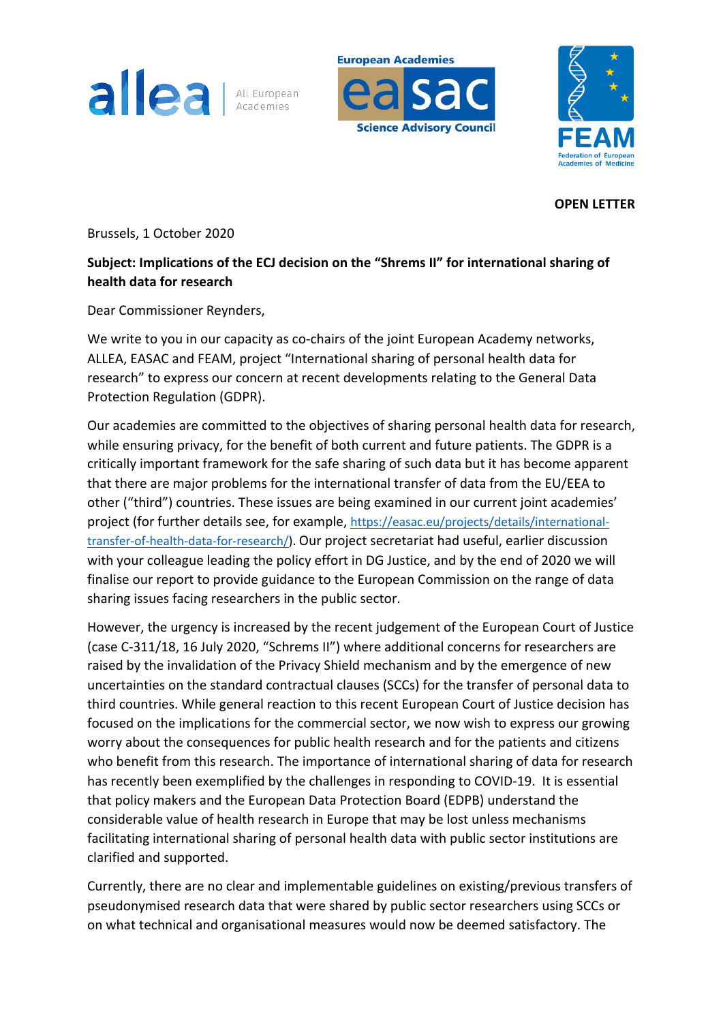

**European Academies** 

**Science Advisory Council** 



**OPEN LETTER**

Brussels, 1 October 2020

## **Subject: Implications of the ECJ decision on the "Shrems II" for international sharing of health data for research**

Dear Commissioner Reynders,

We write to you in our capacity as co-chairs of the joint European Academy networks, ALLEA, EASAC and FEAM, project "International sharing of personal health data for research" to express our concern at recent developments relating to the General Data Protection Regulation (GDPR).

Our academies are committed to the objectives of sharing personal health data for research, while ensuring privacy, for the benefit of both current and future patients. The GDPR is a critically important framework for the safe sharing of such data but it has become apparent that there are major problems for the international transfer of data from the EU/EEA to other ("third") countries. These issues are being examined in our current joint academies' project (for further details see, for example, https://easac.eu/projects/details/internationaltransfer-of-health-data-for-research/). Our project secretariat had useful, earlier discussion with your colleague leading the policy effort in DG Justice, and by the end of 2020 we will finalise our report to provide guidance to the European Commission on the range of data sharing issues facing researchers in the public sector.

However, the urgency is increased by the recent judgement of the European Court of Justice (case C-311/18, 16 July 2020, "Schrems II") where additional concerns for researchers are raised by the invalidation of the Privacy Shield mechanism and by the emergence of new uncertainties on the standard contractual clauses (SCCs) for the transfer of personal data to third countries. While general reaction to this recent European Court of Justice decision has focused on the implications for the commercial sector, we now wish to express our growing worry about the consequences for public health research and for the patients and citizens who benefit from this research. The importance of international sharing of data for research has recently been exemplified by the challenges in responding to COVID-19. It is essential that policy makers and the European Data Protection Board (EDPB) understand the considerable value of health research in Europe that may be lost unless mechanisms facilitating international sharing of personal health data with public sector institutions are clarified and supported.

Currently, there are no clear and implementable guidelines on existing/previous transfers of pseudonymised research data that were shared by public sector researchers using SCCs or on what technical and organisational measures would now be deemed satisfactory. The